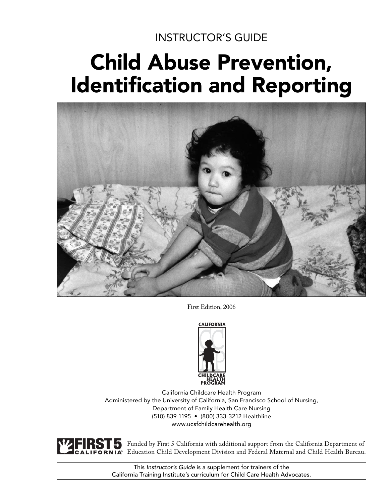# INSTRUCTOR'S GUIDE

# Child Abuse Prevention, **Identification and Reporting**



First Edition, 2006



California Childcare Health Program Administered by the University of California, San Francisco School of Nursing, Department of Family Health Care Nursing (510) 839-1195 • (800) 333-3212 Healthline www.ucsfchildcarehealth.org

Funded by First 5 California with additional support from the California Department of Education Child Development Division and Federal Maternal and Child Health Bureau.

This *Instructor's Guide* is a supplement for trainers of the California Training Institute's curriculum for Child Care Health Advocates.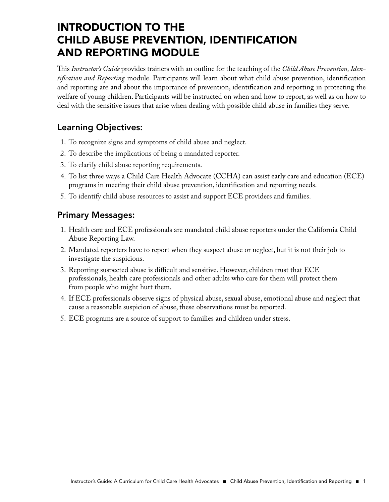# INTRODUCTION TO THE CHILD ABUSE PREVENTION, IDENTIFICATION AND REPORTING MODULE

This Instructor's Guide provides trainers with an outline for the teaching of the Child Abuse Prevention, Iden*tification and Reporting* module. Participants will learn about what child abuse prevention, identification and reporting are and about the importance of prevention, identification and reporting in protecting the welfare of young children. Participants will be instructed on when and how to report, as well as on how to deal with the sensitive issues that arise when dealing with possible child abuse in families they serve.

## Learning Objectives:

- 1. To recognize signs and symptoms of child abuse and neglect.
- 2. To describe the implications of being a mandated reporter.
- 3. To clarify child abuse reporting requirements.
- 4. To list three ways a Child Care Health Advocate (CCHA) can assist early care and education (ECE) programs in meeting their child abuse prevention, identification and reporting needs.
- 5. To identify child abuse resources to assist and support ECE providers and families.

## Primary Messages:

- 1. Health care and ECE professionals are mandated child abuse reporters under the California Child Abuse Reporting Law.
- 2. Mandated reporters have to report when they suspect abuse or neglect, but it is not their job to investigate the suspicions.
- 3. Reporting suspected abuse is difficult and sensitive. However, children trust that ECE professionals, health care professionals and other adults who care for them will protect them from people who might hurt them.
- 4. If ECE professionals observe signs of physical abuse, sexual abuse, emotional abuse and neglect that cause a reasonable suspicion of abuse, these observations must be reported.
- 5. ECE programs are a source of support to families and children under stress.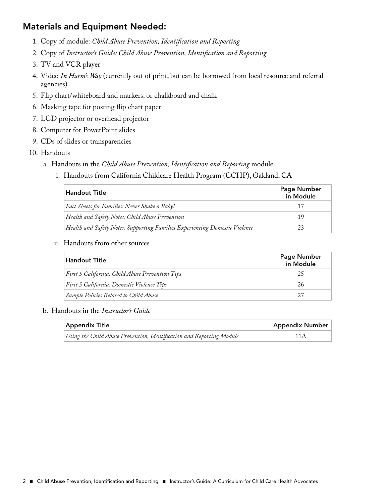## Materials and Equipment Needed:

- 1. Copy of module: *Child Abuse Prevention, Identification and Reporting*
- 2. Copy of *Instructor's Guide: Child Abuse Prevention, Identification and Reporting*
- 3. TV and VCR player
- 4. Video *In Harm's Way* (currently out of print, but can be borrowed from local resource and referral agencies)
- 5. Flip chart/whiteboard and markers, or chalkboard and chalk
- 6. Masking tape for posting flip chart paper
- 7. LCD projector or overhead projector
- 8. Computer for PowerPoint slides
- 9. CDs of slides or transparencies
- 10. Handouts
	- a. Handouts in the *Child Abuse Prevention, Identification and Reporting* module
		- i. Handouts from California Childcare Health Program (CCHP), Oakland, CA

| <b>Handout Title</b>                                                        | <b>Page Number</b><br>in Module |
|-----------------------------------------------------------------------------|---------------------------------|
| Fact Sheets for Families: Never Shake a Baby!                               | 17                              |
| Health and Safety Notes: Child Abuse Prevention                             | 19                              |
| Health and Safety Notes: Supporting Families Experiencing Domestic Violence | 23                              |

ii. Handouts from other sources

| Handout Title                                   | <b>Page Number</b><br>in Module |
|-------------------------------------------------|---------------------------------|
| First 5 California: Child Abuse Prevention Tips | 25                              |
| First 5 California: Domestic Violence Tips      | 26                              |
| Sample Policies Related to Child Abuse          | 27                              |

#### b. Handouts in the *Instructor's Guide*

| <b>Appendix Title</b>                                                 | <b>Appendix Number</b> |
|-----------------------------------------------------------------------|------------------------|
| Using the Child Abuse Prevention, Identification and Reporting Module | 11 A                   |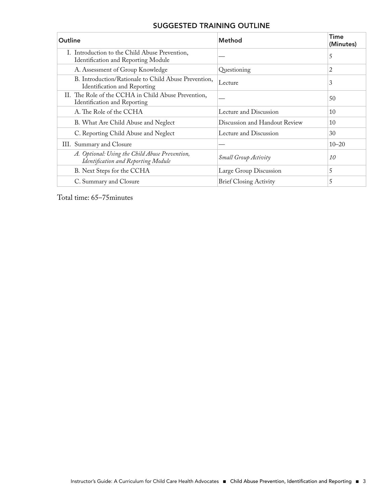### SUGGESTED TRAINING OUTLINE

| Outline                                                                               | <b>Method</b>                 | <b>Time</b><br>(Minutes) |
|---------------------------------------------------------------------------------------|-------------------------------|--------------------------|
| I. Introduction to the Child Abuse Prevention,<br>Identification and Reporting Module |                               | 5                        |
| A. Assessment of Group Knowledge                                                      | Questioning                   | 2                        |
| B. Introduction/Rationale to Child Abuse Prevention,<br>Identification and Reporting  | Lecture                       | 3                        |
| II. The Role of the CCHA in Child Abuse Prevention,<br>Identification and Reporting   |                               | 50                       |
| A. The Role of the CCHA                                                               | Lecture and Discussion        | 10                       |
| B. What Are Child Abuse and Neglect                                                   | Discussion and Handout Review | 10                       |
| C. Reporting Child Abuse and Neglect                                                  | Lecture and Discussion        | 30                       |
| III. Summary and Closure                                                              |                               | $10 - 20$                |
| A. Optional: Using the Child Abuse Prevention,<br>Identification and Reporting Module | <b>Small Group Activity</b>   | 10                       |
| B. Next Steps for the CCHA                                                            | Large Group Discussion        | 5                        |
| C. Summary and Closure                                                                | <b>Brief Closing Activity</b> | 5                        |

Total time: 65–75minutes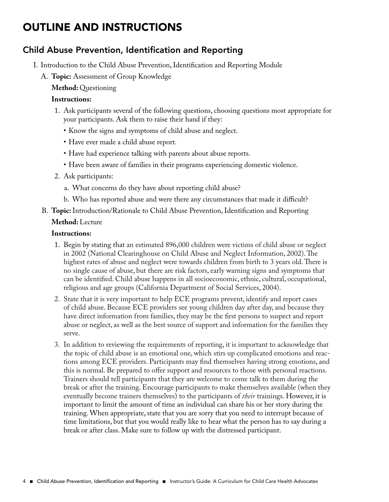# OUTLINE AND INSTRUCTIONS

## Child Abuse Prevention, Identification and Reporting

- I. Introduction to the Child Abuse Prevention, Identification and Reporting Module
	- A. **Topic:** Assessment of Group Knowledge

 **Method:** Questioning

#### **Instructions:**

- 1. Ask participants several of the following questions, choosing questions most appropriate for your participants. Ask them to raise their hand if they:
	- Know the signs and symptoms of child abuse and neglect.
	- Have ever made a child abuse report.
	- Have had experience talking with parents about abuse reports.
	- Have been aware of families in their programs experiencing domestic violence.
- 2. Ask participants:
	- a. What concerns do they have about reporting child abuse?
	- b. Who has reported abuse and were there any circumstances that made it difficult?
- B. **Topic:** Introduction/Rationale to Child Abuse Prevention, Identification and Reporting

#### **Method:** Lecture

- 1. Begin by stating that an estimated 896,000 children were victims of child abuse or neglect in 2002 (National Clearinghouse on Child Abuse and Neglect Information, 2002). The highest rates of abuse and neglect were towards children from birth to 3 years old. There is no single cause of abuse, but there are risk factors, early warning signs and symptoms that can be identified. Child abuse happens in all socioeconomic, ethnic, cultural, occupational, religious and age groups (California Department of Social Services, 2004).
- 2. State that it is very important to help ECE programs prevent, identify and report cases of child abuse. Because ECE providers see young children day after day, and because they have direct information from families, they may be the first persons to suspect and report abuse or neglect, as well as the best source of support and information for the families they serve.
- 3. In addition to reviewing the requirements of reporting, it is important to acknowledge that the topic of child abuse is an emotional one, which stirs up complicated emotions and reactions among ECE providers. Participants may find themselves having strong emotions, and this is normal. Be prepared to offer support and resources to those with personal reactions. Trainers should tell participants that they are welcome to come talk to them during the break or after the training. Encourage participants to make themselves available (when they eventually become trainers themselves) to the participants of *their* trainings. However, it is important to limit the amount of time an individual can share his or her story during the training. When appropriate, state that you are sorry that you need to interrupt because of time limitations, but that you would really like to hear what the person has to say during a break or after class. Make sure to follow up with the distressed participant.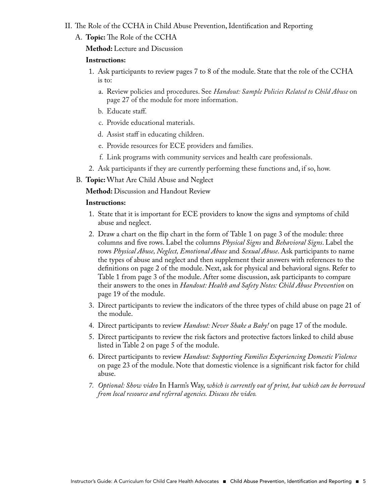- II. The Role of the CCHA in Child Abuse Prevention, Identification and Reporting
	- A. **Topic:** The Role of the CCHA

 **Method:** Lecture and Discussion

#### **Instructions:**

- 1. Ask participants to review pages 7 to 8 of the module. State that the role of the CCHA is to:
	- a. Review policies and procedures. See *Handout: Sample Policies Related to Child Abuse* on page 27 of the module for more information.
	- b. Educate staff.
	- c. Provide educational materials.
	- d. Assist staff in educating children.
	- e. Provide resources for ECE providers and families.
	- f. Link programs with community services and health care professionals.
- 2. Ask participants if they are currently performing these functions and, if so, how.
- B. **Topic:** What Are Child Abuse and Neglect

 **Method:** Discussion and Handout Review

- 1. State that it is important for ECE providers to know the signs and symptoms of child abuse and neglect.
- 2. Draw a chart on the flip chart in the form of Table 1 on page 3 of the module: three columns and five rows. Label the columns *Physical Signs* and *Behavioral Signs*. Label the rows *Physical Abuse, Neglect, Emotional Abuse* and *Sexual Abuse*. Ask participants to name the types of abuse and neglect and then supplement their answers with references to the definitions on page 2 of the module. Next, ask for physical and behavioral signs. Refer to Table 1 from page 3 of the module. After some discussion, ask participants to compare their answers to the ones in *Handout: Health and Safety Notes: Child Abuse Prevention* on page 19 of the module.
- 3. Direct participants to review the indicators of the three types of child abuse on page 21 of the module.
- 4. Direct participants to review *Handout: Never Shake a Baby!* on page 17 of the module.
- 5. Direct participants to review the risk factors and protective factors linked to child abuse listed in Table 2 on page 5 of the module.
- 6. Direct participants to review *Handout: Supporting Families Experiencing Domestic Violence*  on page 23 of the module. Note that domestic violence is a significant risk factor for child abuse.
- *7. Optional: Show video* In Harm's Way, *which is currently out of print, but which can be borrowed from local resource and referral agencies. Discuss the video.*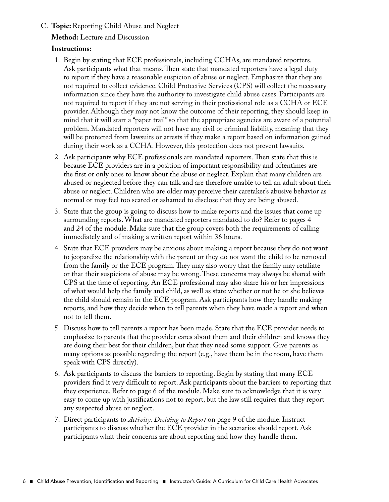#### C. **Topic:** Reporting Child Abuse and Neglect

 **Method:** Lecture and Discussion

- 1. Begin by stating that ECE professionals, including CCHAs, are mandated reporters. Ask participants what that means. Then state that mandated reporters have a legal duty to report if they have a reasonable suspicion of abuse or neglect. Emphasize that they are not required to collect evidence. Child Protective Services (CPS) will collect the necessary information since they have the authority to investigate child abuse cases. Participants are not required to report if they are not serving in their professional role as a CCHA or ECE provider. Although they may not know the outcome of their reporting, they should keep in mind that it will start a "paper trail" so that the appropriate agencies are aware of a potential problem. Mandated reporters will not have any civil or criminal liability, meaning that they will be protected from lawsuits or arrests if they make a report based on information gained during their work as a CCHA. However, this protection does not prevent lawsuits.
- 2. Ask participants why ECE professionals are mandated reporters. Then state that this is because ECE providers are in a position of important responsibility and oftentimes are the first or only ones to know about the abuse or neglect. Explain that many children are abused or neglected before they can talk and are therefore unable to tell an adult about their abuse or neglect. Children who are older may perceive their caretaker's abusive behavior as normal or may feel too scared or ashamed to disclose that they are being abused.
- 3. State that the group is going to discuss how to make reports and the issues that come up surrounding reports. What are mandated reporters mandated to do? Refer to pages 4 and 24 of the module. Make sure that the group covers both the requirements of calling immediately and of making a written report within 36 hours.
- 4. State that ECE providers may be anxious about making a report because they do not want to jeopardize the relationship with the parent or they do not want the child to be removed from the family or the ECE program. They may also worry that the family may retaliate or that their suspicions of abuse may be wrong. These concerns may always be shared with CPS at the time of reporting. An ECE professional may also share his or her impressions of what would help the family and child, as well as state whether or not he or she believes the child should remain in the ECE program. Ask participants how they handle making reports, and how they decide when to tell parents when they have made a report and when not to tell them.
- 5. Discuss how to tell parents a report has been made. State that the ECE provider needs to emphasize to parents that the provider cares about them and their children and knows they are doing their best for their children, but that they need some support. Give parents as many options as possible regarding the report (e.g., have them be in the room, have them speak with CPS directly).
- 6. Ask participants to discuss the barriers to reporting. Begin by stating that many ECE providers find it very difficult to report. Ask participants about the barriers to reporting that they experience. Refer to page 6 of the module. Make sure to acknowledge that it is very easy to come up with justifications not to report, but the law still requires that they report any suspected abuse or neglect.
- 7. Direct participants to *Activity: Deciding to Report* on page 9 of the module. Instruct participants to discuss whether the ECE provider in the scenarios should report. Ask participants what their concerns are about reporting and how they handle them.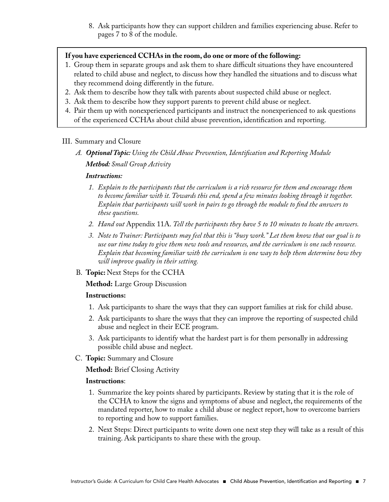8. Ask participants how they can support children and families experiencing abuse. Refer to pages 7 to 8 of the module.

#### **If you have experienced CCHAs in the room, do one or more of the following:**

- 1. Group them in separate groups and ask them to share difficult situations they have encountered related to child abuse and neglect, to discuss how they handled the situations and to discuss what they recommend doing differently in the future.
- 2. Ask them to describe how they talk with parents about suspected child abuse or neglect.
- 3. Ask them to describe how they support parents to prevent child abuse or neglect.
- 4. Pair them up with nonexperienced participants and instruct the nonexperienced to ask questions of the experienced CCHAs about child abuse prevention, identification and reporting.

#### III. Summary and Closure

 *A. Optional Topic: Using the Child Abuse Prevention, Identifi cation and Reporting Module Method: Small Group Activity*

#### *Instructions:*

- *1. Explain to the participants that the curriculum is a rich resource for them and encourage them to become familiar with it. Towards this end, spend a few minutes looking through it together. Explain that participants will work in pairs to go through the module to fi nd the answers to these questions.*
- *2. Hand out* Appendix 11A. *Tell the participants they have 5 to 10 minutes to locate the answers.*
- *3. Note to Trainer: Participants may feel that this is "busy work." Let them know that our goal is to use our time today to give them new tools and resources, and the curriculum is one such resource. Explain that becoming familiar with the curriculum is one way to help them determine how they will improve quality in their setting.*
- B. **Topic:** Next Steps for the CCHA

 **Method:** Large Group Discussion

#### **Instructions:**

- 1. Ask participants to share the ways that they can support families at risk for child abuse.
- 2. Ask participants to share the ways that they can improve the reporting of suspected child abuse and neglect in their ECE program.
- 3. Ask participants to identify what the hardest part is for them personally in addressing possible child abuse and neglect.
- C. **Topic:** Summary and Closure

 **Method:** Brief Closing Activity

- 1. Summarize the key points shared by participants. Review by stating that it is the role of the CCHA to know the signs and symptoms of abuse and neglect, the requirements of the mandated reporter, how to make a child abuse or neglect report, how to overcome barriers to reporting and how to support families.
- 2. Next Steps: Direct participants to write down one next step they will take as a result of this training. Ask participants to share these with the group.